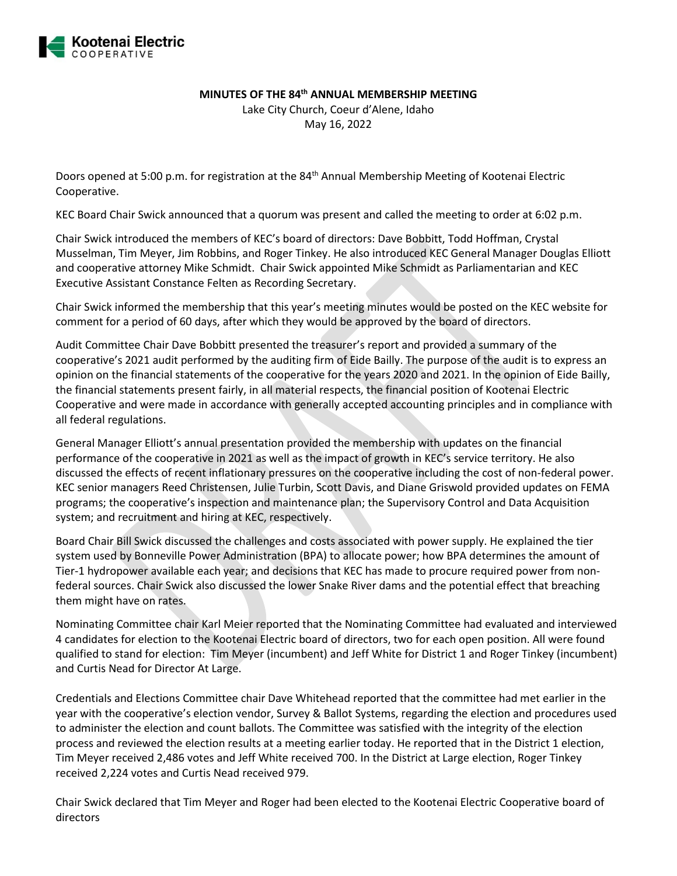

## **MINUTES OF THE 84th ANNUAL MEMBERSHIP MEETING**

Lake City Church, Coeur d'Alene, Idaho May 16, 2022

Doors opened at 5:00 p.m. for registration at the 84<sup>th</sup> Annual Membership Meeting of Kootenai Electric Cooperative.

KEC Board Chair Swick announced that a quorum was present and called the meeting to order at 6:02 p.m.

Chair Swick introduced the members of KEC's board of directors: Dave Bobbitt, Todd Hoffman, Crystal Musselman, Tim Meyer, Jim Robbins, and Roger Tinkey. He also introduced KEC General Manager Douglas Elliott and cooperative attorney Mike Schmidt. Chair Swick appointed Mike Schmidt as Parliamentarian and KEC Executive Assistant Constance Felten as Recording Secretary.

Chair Swick informed the membership that this year's meeting minutes would be posted on the KEC website for comment for a period of 60 days, after which they would be approved by the board of directors.

Audit Committee Chair Dave Bobbitt presented the treasurer's report and provided a summary of the cooperative's 2021 audit performed by the auditing firm of Eide Bailly. The purpose of the audit is to express an opinion on the financial statements of the cooperative for the years 2020 and 2021. In the opinion of Eide Bailly, the financial statements present fairly, in all material respects, the financial position of Kootenai Electric Cooperative and were made in accordance with generally accepted accounting principles and in compliance with all federal regulations.

General Manager Elliott's annual presentation provided the membership with updates on the financial performance of the cooperative in 2021 as well as the impact of growth in KEC's service territory. He also discussed the effects of recent inflationary pressures on the cooperative including the cost of non-federal power. KEC senior managers Reed Christensen, Julie Turbin, Scott Davis, and Diane Griswold provided updates on FEMA programs; the cooperative's inspection and maintenance plan; the Supervisory Control and Data Acquisition system; and recruitment and hiring at KEC, respectively.

Board Chair Bill Swick discussed the challenges and costs associated with power supply. He explained the tier system used by Bonneville Power Administration (BPA) to allocate power; how BPA determines the amount of Tier-1 hydropower available each year; and decisions that KEC has made to procure required power from nonfederal sources. Chair Swick also discussed the lower Snake River dams and the potential effect that breaching them might have on rates.

Nominating Committee chair Karl Meier reported that the Nominating Committee had evaluated and interviewed 4 candidates for election to the Kootenai Electric board of directors, two for each open position. All were found qualified to stand for election: Tim Meyer (incumbent) and Jeff White for District 1 and Roger Tinkey (incumbent) and Curtis Nead for Director At Large.

Credentials and Elections Committee chair Dave Whitehead reported that the committee had met earlier in the year with the cooperative's election vendor, Survey & Ballot Systems, regarding the election and procedures used to administer the election and count ballots. The Committee was satisfied with the integrity of the election process and reviewed the election results at a meeting earlier today. He reported that in the District 1 election, Tim Meyer received 2,486 votes and Jeff White received 700. In the District at Large election, Roger Tinkey received 2,224 votes and Curtis Nead received 979.

Chair Swick declared that Tim Meyer and Roger had been elected to the Kootenai Electric Cooperative board of directors